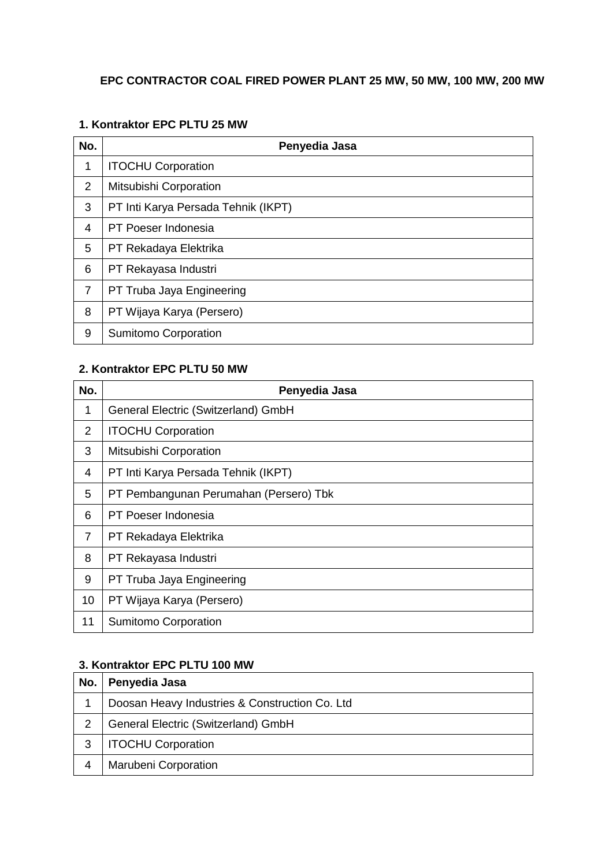### **EPC CONTRACTOR COAL FIRED POWER PLANT 25 MW, 50 MW, 100 MW, 200 MW**

#### **1. Kontraktor EPC PLTU 25 MW**

| No.            | Penyedia Jasa                       |
|----------------|-------------------------------------|
| 1              | <b>ITOCHU Corporation</b>           |
| 2              | Mitsubishi Corporation              |
| 3              | PT Inti Karya Persada Tehnik (IKPT) |
| $\overline{4}$ | PT Poeser Indonesia                 |
| 5              | PT Rekadaya Elektrika               |
| 6              | PT Rekayasa Industri                |
| 7              | PT Truba Jaya Engineering           |
| 8              | PT Wijaya Karya (Persero)           |
| 9              | <b>Sumitomo Corporation</b>         |

### **2. Kontraktor EPC PLTU 50 MW**

| No.            | Penyedia Jasa                          |
|----------------|----------------------------------------|
| 1              | General Electric (Switzerland) GmbH    |
| 2              | <b>ITOCHU Corporation</b>              |
| 3              | Mitsubishi Corporation                 |
| 4              | PT Inti Karya Persada Tehnik (IKPT)    |
| 5              | PT Pembangunan Perumahan (Persero) Tbk |
| 6              | PT Poeser Indonesia                    |
| $\overline{7}$ | PT Rekadaya Elektrika                  |
| 8              | PT Rekayasa Industri                   |
| 9              | PT Truba Jaya Engineering              |
| 10             | PT Wijaya Karya (Persero)              |
| 11             | Sumitomo Corporation                   |

### **3. Kontraktor EPC PLTU 100 MW**

| No. | Penyedia Jasa                                  |
|-----|------------------------------------------------|
|     | Doosan Heavy Industries & Construction Co. Ltd |
| 2   | General Electric (Switzerland) GmbH            |
| 3   | <b>ITOCHU Corporation</b>                      |
|     | <b>Marubeni Corporation</b>                    |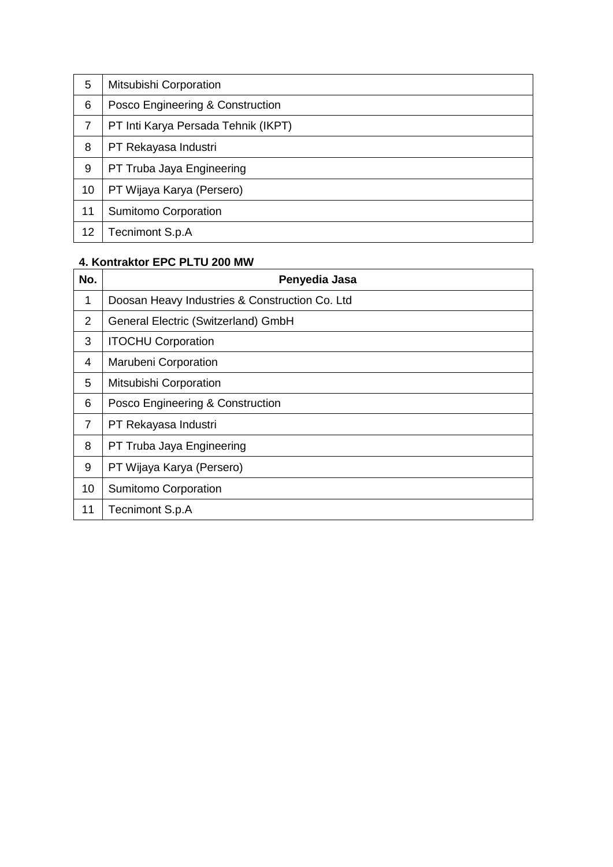| 5       | Mitsubishi Corporation              |
|---------|-------------------------------------|
| 6       | Posco Engineering & Construction    |
| 7       | PT Inti Karya Persada Tehnik (IKPT) |
| 8       | PT Rekayasa Industri                |
| 9       | PT Truba Jaya Engineering           |
| 10      | PT Wijaya Karya (Persero)           |
| 11      | <b>Sumitomo Corporation</b>         |
| $12 \,$ | Tecnimont S.p.A                     |

### **4. Kontraktor EPC PLTU 200 MW**

| No.            | Penyedia Jasa                                  |
|----------------|------------------------------------------------|
| 1              | Doosan Heavy Industries & Construction Co. Ltd |
| 2              | General Electric (Switzerland) GmbH            |
| 3              | <b>ITOCHU Corporation</b>                      |
| 4              | <b>Marubeni Corporation</b>                    |
| 5              | Mitsubishi Corporation                         |
| 6              | Posco Engineering & Construction               |
| $\overline{7}$ | PT Rekayasa Industri                           |
| 8              | PT Truba Jaya Engineering                      |
| 9              | PT Wijaya Karya (Persero)                      |
| 10             | <b>Sumitomo Corporation</b>                    |
| 11             | Tecnimont S.p.A                                |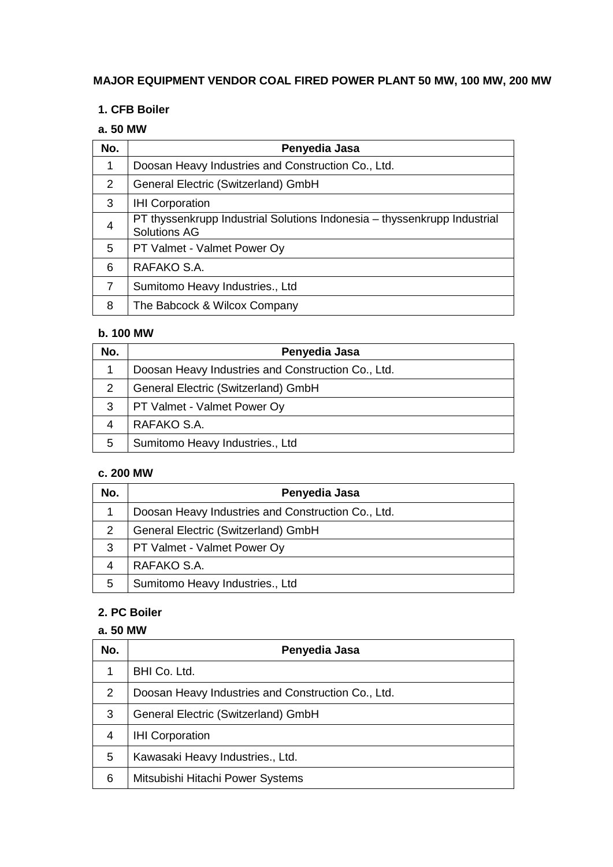### **MAJOR EQUIPMENT VENDOR COAL FIRED POWER PLANT 50 MW, 100 MW, 200 MW**

### **1. CFB Boiler**

### **a. 50 MW**

| No.            | Penyedia Jasa                                                                                   |
|----------------|-------------------------------------------------------------------------------------------------|
| 1              | Doosan Heavy Industries and Construction Co., Ltd.                                              |
| 2              | General Electric (Switzerland) GmbH                                                             |
| 3              | <b>IHI Corporation</b>                                                                          |
| $\overline{4}$ | PT thyssenkrupp Industrial Solutions Indonesia - thyssenkrupp Industrial<br><b>Solutions AG</b> |
| 5              | PT Valmet - Valmet Power Oy                                                                     |
| 6              | RAFAKO S.A.                                                                                     |
| $\overline{7}$ | Sumitomo Heavy Industries., Ltd                                                                 |
| 8              | The Babcock & Wilcox Company                                                                    |

#### **b. 100 MW**

| No. | Penyedia Jasa                                      |
|-----|----------------------------------------------------|
| 1   | Doosan Heavy Industries and Construction Co., Ltd. |
| 2   | General Electric (Switzerland) GmbH                |
| 3   | PT Valmet - Valmet Power Oy                        |
| 4   | RAFAKO S.A.                                        |
| 5   | Sumitomo Heavy Industries., Ltd                    |

#### **c. 200 MW**

| No. | Penyedia Jasa                                      |
|-----|----------------------------------------------------|
|     | Doosan Heavy Industries and Construction Co., Ltd. |
| 2   | General Electric (Switzerland) GmbH                |
| 3   | PT Valmet - Valmet Power Oy                        |
|     | RAFAKO S.A.                                        |
| 5   | Sumitomo Heavy Industries., Ltd                    |

### **2. PC Boiler**

### **a. 50 MW**

| No. | Penyedia Jasa                                      |
|-----|----------------------------------------------------|
|     | BHI Co. Ltd.                                       |
| 2   | Doosan Heavy Industries and Construction Co., Ltd. |
| 3   | General Electric (Switzerland) GmbH                |
| 4   | <b>IHI Corporation</b>                             |
| 5   | Kawasaki Heavy Industries., Ltd.                   |
| 6   | Mitsubishi Hitachi Power Systems                   |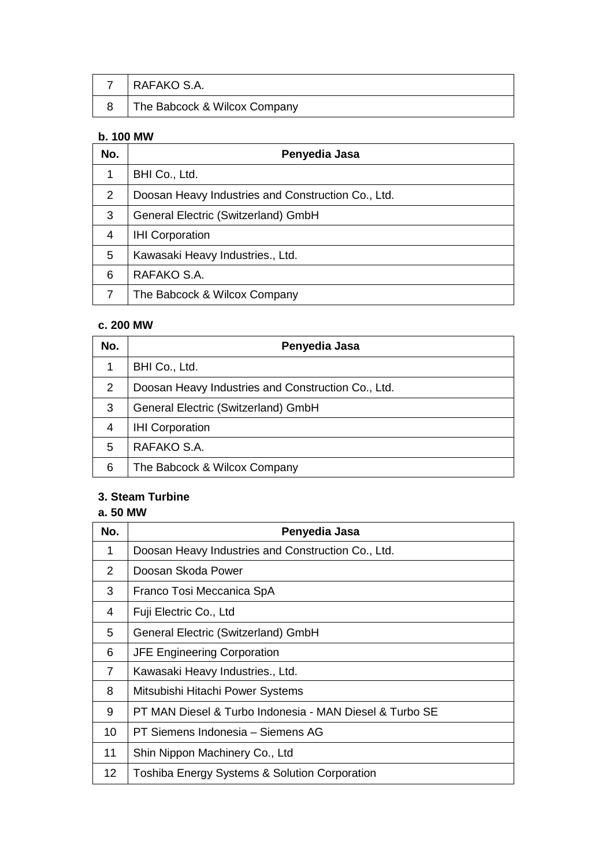| I RAFAKO S.A.                |
|------------------------------|
| The Babcock & Wilcox Company |

### **b. 100 MW**

| No. | Penyedia Jasa                                      |
|-----|----------------------------------------------------|
| 1   | BHI Co., Ltd.                                      |
| 2   | Doosan Heavy Industries and Construction Co., Ltd. |
| 3   | General Electric (Switzerland) GmbH                |
| 4   | <b>IHI Corporation</b>                             |
| 5   | Kawasaki Heavy Industries., Ltd.                   |
| 6   | RAFAKO S.A.                                        |
| 7   | The Babcock & Wilcox Company                       |

#### **c. 200 MW**

| No.            | Penyedia Jasa                                      |
|----------------|----------------------------------------------------|
| 1              | BHI Co., Ltd.                                      |
| 2              | Doosan Heavy Industries and Construction Co., Ltd. |
| 3              | General Electric (Switzerland) GmbH                |
| $\overline{4}$ | <b>IHI Corporation</b>                             |
| 5              | RAFAKO S.A.                                        |
| 6              | The Babcock & Wilcox Company                       |

# **3. Steam Turbine**

#### **a. 50 MW**

| No.             | Penyedia Jasa                                            |
|-----------------|----------------------------------------------------------|
| 1               | Doosan Heavy Industries and Construction Co., Ltd.       |
| $\overline{2}$  | Doosan Skoda Power                                       |
| 3               | Franco Tosi Meccanica SpA                                |
| 4               | Fuji Electric Co., Ltd                                   |
| 5               | General Electric (Switzerland) GmbH                      |
| 6               | <b>JFE Engineering Corporation</b>                       |
| $\overline{7}$  | Kawasaki Heavy Industries., Ltd.                         |
| 8               | Mitsubishi Hitachi Power Systems                         |
| 9               | PT MAN Diesel & Turbo Indonesia - MAN Diesel & Turbo SE  |
| 10              | PT Siemens Indonesia - Siemens AG                        |
| 11              | Shin Nippon Machinery Co., Ltd                           |
| 12 <sub>2</sub> | <b>Toshiba Energy Systems &amp; Solution Corporation</b> |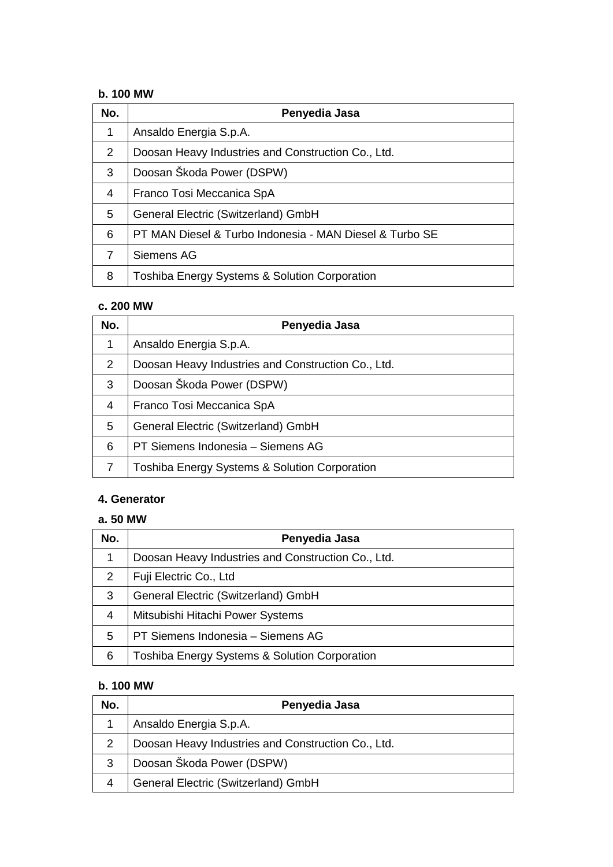#### **b. 100 MW**

| No. | Penyedia Jasa                                           |
|-----|---------------------------------------------------------|
| 1   | Ansaldo Energia S.p.A.                                  |
| 2   | Doosan Heavy Industries and Construction Co., Ltd.      |
| 3   | Doosan Škoda Power (DSPW)                               |
| 4   | Franco Tosi Meccanica SpA                               |
| 5   | General Electric (Switzerland) GmbH                     |
| 6   | PT MAN Diesel & Turbo Indonesia - MAN Diesel & Turbo SE |
| 7   | Siemens AG                                              |
| 8   | Toshiba Energy Systems & Solution Corporation           |

### **c. 200 MW**

| No.             | Penyedia Jasa                                            |
|-----------------|----------------------------------------------------------|
| 1               | Ansaldo Energia S.p.A.                                   |
| 2               | Doosan Heavy Industries and Construction Co., Ltd.       |
| 3               | Doosan Škoda Power (DSPW)                                |
| 4               | Franco Tosi Meccanica SpA                                |
| $5\phantom{.0}$ | General Electric (Switzerland) GmbH                      |
| 6               | PT Siemens Indonesia - Siemens AG                        |
|                 | <b>Toshiba Energy Systems &amp; Solution Corporation</b> |

#### **4. Generator**

### **a. 50 MW**

| No. | Penyedia Jasa                                            |
|-----|----------------------------------------------------------|
| 1   | Doosan Heavy Industries and Construction Co., Ltd.       |
| 2   | Fuji Electric Co., Ltd                                   |
| 3   | General Electric (Switzerland) GmbH                      |
| 4   | Mitsubishi Hitachi Power Systems                         |
| 5   | PT Siemens Indonesia - Siemens AG                        |
| 6   | <b>Toshiba Energy Systems &amp; Solution Corporation</b> |

### **b. 100 MW**

| No. | Penyedia Jasa                                      |
|-----|----------------------------------------------------|
|     | Ansaldo Energia S.p.A.                             |
|     | Doosan Heavy Industries and Construction Co., Ltd. |
| 3   | Doosan Škoda Power (DSPW)                          |
|     | General Electric (Switzerland) GmbH                |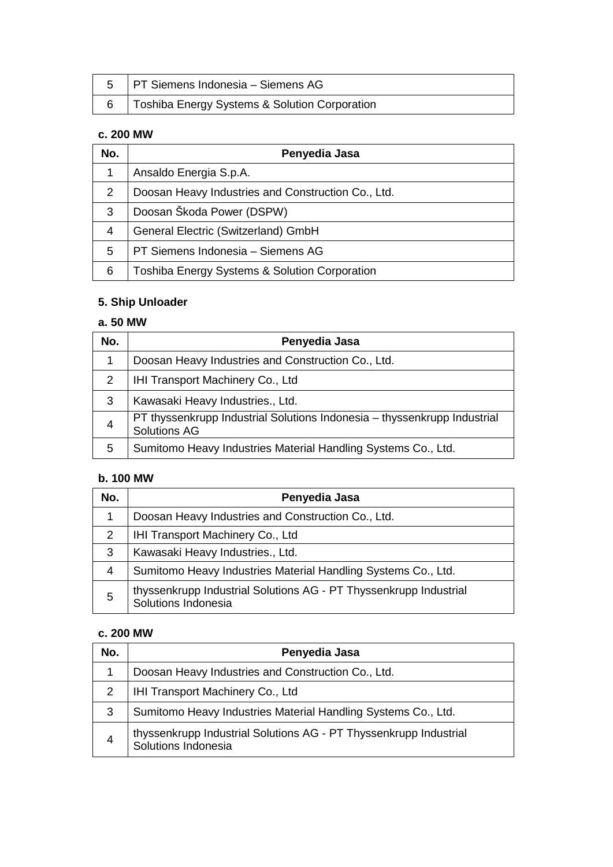| 5   PT Siemens Indonesia – Siemens AG         |
|-----------------------------------------------|
| Toshiba Energy Systems & Solution Corporation |

# **c. 200 MW**

| No.            | Penyedia Jasa                                            |
|----------------|----------------------------------------------------------|
| 1              | Ansaldo Energia S.p.A.                                   |
| $\overline{2}$ | Doosan Heavy Industries and Construction Co., Ltd.       |
| 3              | Doosan Škoda Power (DSPW)                                |
| 4              | General Electric (Switzerland) GmbH                      |
| 5              | PT Siemens Indonesia - Siemens AG                        |
| 6              | <b>Toshiba Energy Systems &amp; Solution Corporation</b> |

# **5. Ship Unloader**

### **a. 50 MW**

| No.            | Penyedia Jasa                                                                                   |
|----------------|-------------------------------------------------------------------------------------------------|
| 1              | Doosan Heavy Industries and Construction Co., Ltd.                                              |
| 2              | IHI Transport Machinery Co., Ltd                                                                |
| 3              | Kawasaki Heavy Industries., Ltd.                                                                |
| $\overline{4}$ | PT thyssenkrupp Industrial Solutions Indonesia - thyssenkrupp Industrial<br><b>Solutions AG</b> |
| 5              | Sumitomo Heavy Industries Material Handling Systems Co., Ltd.                                   |

### **b. 100 MW**

| No.            | Penyedia Jasa                                                                            |
|----------------|------------------------------------------------------------------------------------------|
| 1              | Doosan Heavy Industries and Construction Co., Ltd.                                       |
| 2              | IHI Transport Machinery Co., Ltd                                                         |
| 3              | Kawasaki Heavy Industries., Ltd.                                                         |
| $\overline{4}$ | Sumitomo Heavy Industries Material Handling Systems Co., Ltd.                            |
| 5              | thyssenkrupp Industrial Solutions AG - PT Thyssenkrupp Industrial<br>Solutions Indonesia |

### **c. 200 MW**

| No. | Penyedia Jasa                                                                            |
|-----|------------------------------------------------------------------------------------------|
| 1   | Doosan Heavy Industries and Construction Co., Ltd.                                       |
| 2   | IHI Transport Machinery Co., Ltd                                                         |
| 3   | Sumitomo Heavy Industries Material Handling Systems Co., Ltd.                            |
| 4   | thyssenkrupp Industrial Solutions AG - PT Thyssenkrupp Industrial<br>Solutions Indonesia |